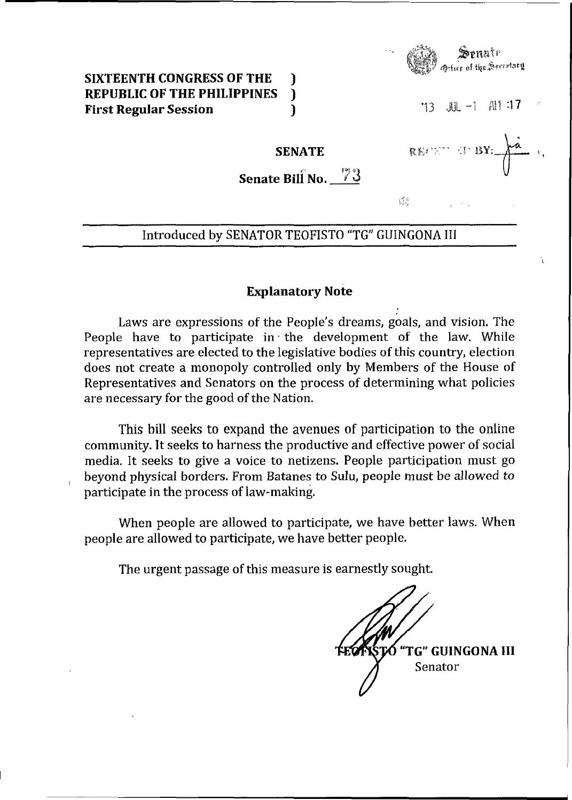

### SIXTEENTH CONGRESS OF THE REPUBLIC OF THE PHILIPPINES ) First Regular Session (1)

 $13$  JUL  $-1$  All 17

#### SENATE

RECET CHER

 $\int_{\gamma_{\rm eff}^{\rm eff} \gamma_{\rm eff}^{\rm eff}}^{\gamma_{\rm eff}^{\rm eff} \gamma_{\rm eff}^{\rm eff}}$ 

Senate Bill No. 73

# Introduced by SENATOR TEOFISTO "TG" GUINGONA III

#### Explanatory Note

Laws are expressions of the People's dreams, goals, and vision. The People have to participate in' the development of the law. While representatives are elected to the legislative bodies of this country, election does not create a monopoly controlled only by Members of the House of Representatives and Senators on the process of determining what policies are necessary for the good of the Nation.

This bill seeks to expand the avenues of participation to the online community. It seeks to harness the productive and effective power of social media. It seeks to give a voice to netizens. People participation must go  $\,$  beyond physical borders. From Batanes to Sulu, people must be allowed to participate in the process of law-making.

When people are allowed to participate, we have better laws. When people are allowed to participate, we have better people.

The urgent passage of this measure is earnestly sought.

"TG" GUINGONA III Senator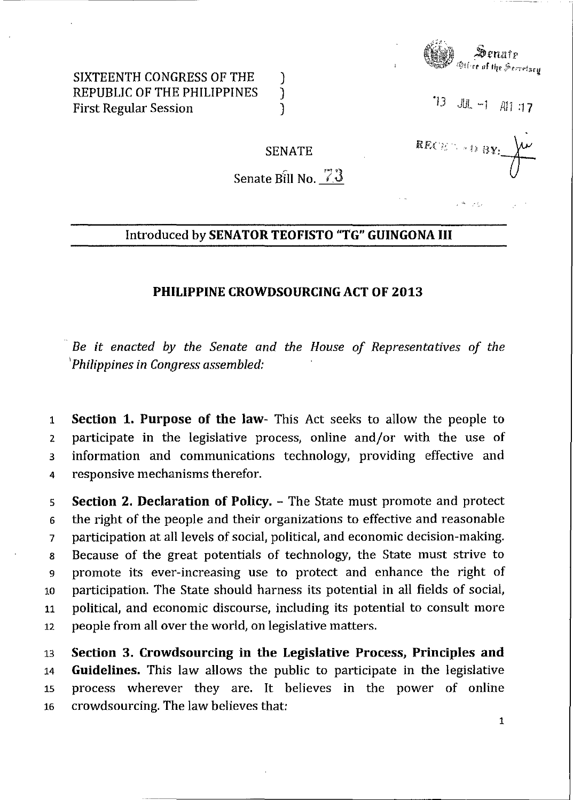

### SIXTEENTH CONGRESS OF THE REPUBLIC OF THE PHILIPPINES First Regular Session

 $13$  JUL-1 All :17

SENATE

) ) )

RECESSION

 $\label{eq:2.1} \frac{1}{\lambda} \frac{d\lambda}{\lambda} = \frac{1}{\lambda} \frac{d\lambda}{\lambda} \, ,$ 

Senate Bill No. 73

## Introduced by **SENATOR TEOFISTO "TG" GUINGONA III**

### **PHILIPPINE CROWDSOURCING ACT OF 2013**

.. *Be it enacted by the Senate and the House of Representatives of the 'Philippines in Congress assembled:* 

1 **Section 1. Purpose of the** law- This Act seeks to allow the people to 2 participate in the legislative process, online and/or with the use of 3 information and communications technology, providing effective and 4 responsive mechanisms therefor.

5 **Section 2, Declaration of Policy.** - The State must promote and protect 6 the right of the people and their organizations to effective and reasonable 7 participation at all levels of social, political, and economic decision-making. 8 Because of the great potentials of technology, the State must strive to 9 promote its ever-increasing use to protect and enhance the right of 10 participation. The State should harness its potential in all fields of social, 11 political, and economic discourse, including its potential to consult more 12 people from all over the world, on legislative matters.

13 **Section 3. Crowdsourcing in the Legislative Process, Principles and**  14 **Guidelines.** This law allows the public to participate in the legislative 15 process wherever they are. It believes in the power of online 16 crowdsourcing. The law believes that: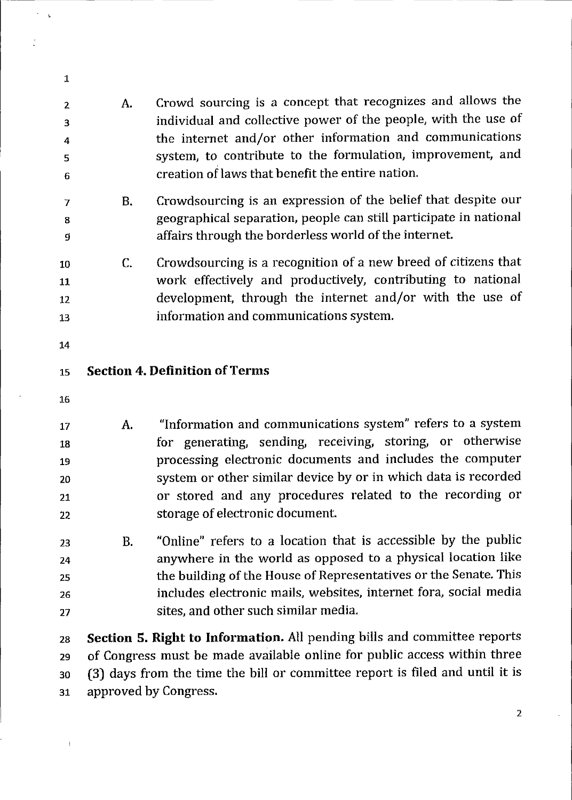| 1              |                                                                              |                                                                                                                                      |
|----------------|------------------------------------------------------------------------------|--------------------------------------------------------------------------------------------------------------------------------------|
| $\overline{2}$ | Α.                                                                           | Crowd sourcing is a concept that recognizes and allows the<br>individual and collective power of the people, with the use of         |
| 3              |                                                                              | the internet and/or other information and communications                                                                             |
| 4              |                                                                              | system, to contribute to the formulation, improvement, and                                                                           |
| 5<br>6         |                                                                              | creation of laws that benefit the entire nation.                                                                                     |
| $\overline{7}$ | <b>B.</b>                                                                    | Crowdsourcing is an expression of the belief that despite our                                                                        |
| 8              |                                                                              | geographical separation, people can still participate in national                                                                    |
| 9              |                                                                              | affairs through the borderless world of the internet.                                                                                |
| 10             | C.                                                                           | Crowdsourcing is a recognition of a new breed of citizens that                                                                       |
| 11             |                                                                              | work effectively and productively, contributing to national                                                                          |
| 12             |                                                                              | development, through the internet and/or with the use of                                                                             |
| 13             |                                                                              | information and communications system.                                                                                               |
| 14             |                                                                              |                                                                                                                                      |
| 15             | <b>Section 4. Definition of Terms</b>                                        |                                                                                                                                      |
| 16             |                                                                              |                                                                                                                                      |
| 17             | A.                                                                           | "Information and communications system" refers to a system                                                                           |
| 18             |                                                                              | for generating, sending, receiving, storing, or otherwise                                                                            |
| 19             |                                                                              | processing electronic documents and includes the computer                                                                            |
| 20             |                                                                              | system or other similar device by or in which data is recorded                                                                       |
| 21             |                                                                              | or stored and any procedures related to the recording or                                                                             |
| 22             |                                                                              | storage of electronic document.                                                                                                      |
| 23             | <b>B.</b>                                                                    | "Online" refers to a location that is accessible by the public                                                                       |
| 24             |                                                                              | anywhere in the world as opposed to a physical location like                                                                         |
| 25             |                                                                              | the building of the House of Representatives or the Senate. This<br>includes electronic mails, websites, internet fora, social media |
| 26<br>27       |                                                                              | sites, and other such similar media.                                                                                                 |
| 28             |                                                                              | <b>Section 5. Right to Information.</b> All pending bills and committee reports                                                      |
| 29             | of Congress must be made available online for public access within three     |                                                                                                                                      |
| 30             | (3) days from the time the bill or committee report is filed and until it is |                                                                                                                                      |
| 31             | approved by Congress.                                                        |                                                                                                                                      |
|                |                                                                              | $\overline{2}$                                                                                                                       |
|                |                                                                              |                                                                                                                                      |

J.

 $\bar{V}$ 

 $\frac{1}{2}$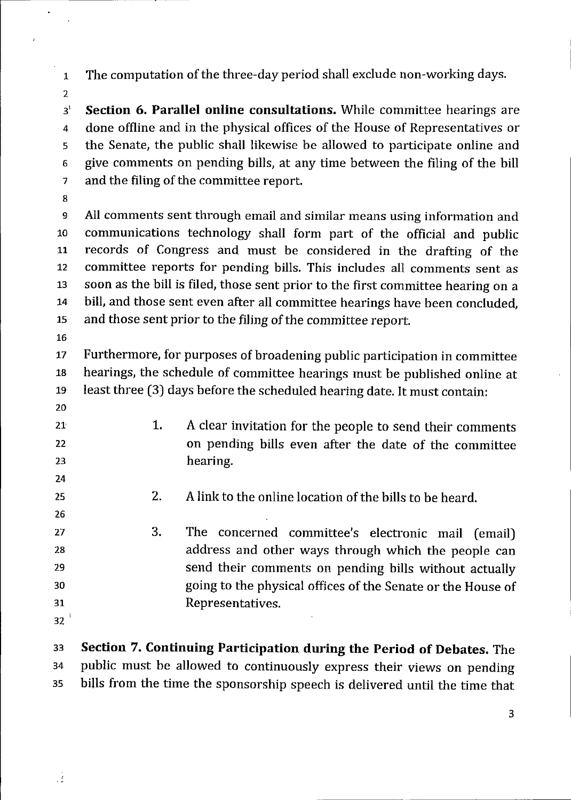1 The computation of the three-day period shall exclude non-working days.

3' **Section 6. Parallel online consultations.** While committee hearings are 4 done offline and in the physical offices of the House of Representatives or 5 the Senate, the public shall likewise be allowed to participate online and 6 give comments on pending bills, at any time between the filing of the bill 7 and the filing of the committee report.

8

2

9 All comments sent through email and similar means using information and 10 communications technology shall form part of the official and public 11 records of Congress and must be considered in the drafting of the 12 committee reports for pending bills. This includes all comments sent as 13 soon as the bill is filed, those sent prior to the first committee hearing on a 14 bill, and those sent even after all committee hearings have been concluded, 15 and those sent prior to the filing of the committee report.

16

20

24 25 26

17 Furthermore, for purposes of broadening public participation in committee 18 hearings, the schedule of committee hearings must be published online at 19 least three (3) days before the scheduled hearing date. It must contain:

- 21 22 23 1. A clear invitation for the people to send their comments on pending bills even after the date of the committee hearing.
	- 2. A link to the online location of the bills to be heard.

27 28 29 30 31 3. The concerned committee's electronic mail (email) address and other ways through which the people can send their comments on pending bills without actually going to the physical offices of the Senate or the House of Representatives.

 $32<sup>1</sup>$ 

<sup>33</sup>**Section 7. Continuing Participation during the Period of Debates.** The 34 public must be allowed to continuously express their views on pending 35 bills from the time the sponsorship speech is delivered until the time that

3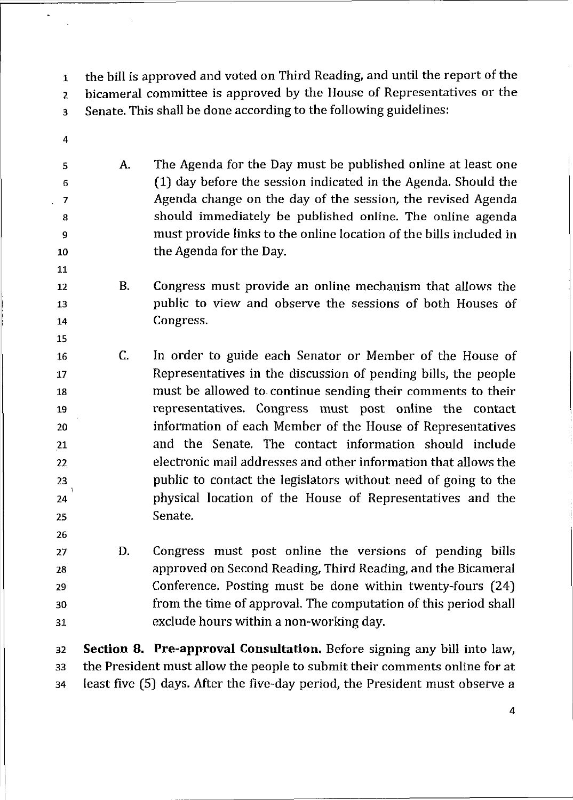1 the bill is approved and voted on Third Reading, and until the report of the 2 bicameral committee is approved by the House of Representatives or the 3 Senate. This shall be done according to the following guidelines:

4

 $\overline{a}$ 

15

26

A. The Agenda for the Day must be published online at least one (1) day before the session indicated in the Agenda. Should the Agenda change on the day of the session, the revised Agenda should immediately be published online. The online agenda must provide links to the online location of the bills included in the Agenda for the Day.

- 12 13 14 B. Congress must provide an online mechanism that allows the public to view and observe the sessions of both Houses of Congress.
- 16 17 18 19 20 21 22 23 24 25 c. In order to guide each Senator or Member of the House of Representatives in the discussion of pending bills, the people must be allowed to continue sending their comments to their representatives. Congress must post online the contact information of each Member of the House of Representatives and the Senate. The contact information should include electronic mail addresses and other information that allows the public to contact the legislators without need of going to the physical location of the House of Representatives and the Senate.
- 27 28 29 30 D. Congress must post online the versions of pending bills approved on Second Reading, Third Reading, and the Bicameral Conference. Posting must be done within twenty-fours (24) from the time of approval. The computation of this period shall 31 exclude hours within a non-working day.

32 Section 8. Pre-approval Consultation. Before signing any bill into law, 33 the President must allow the people to submit their comments online for at 34 least five (5) days. After the five-day period, the President must observe a